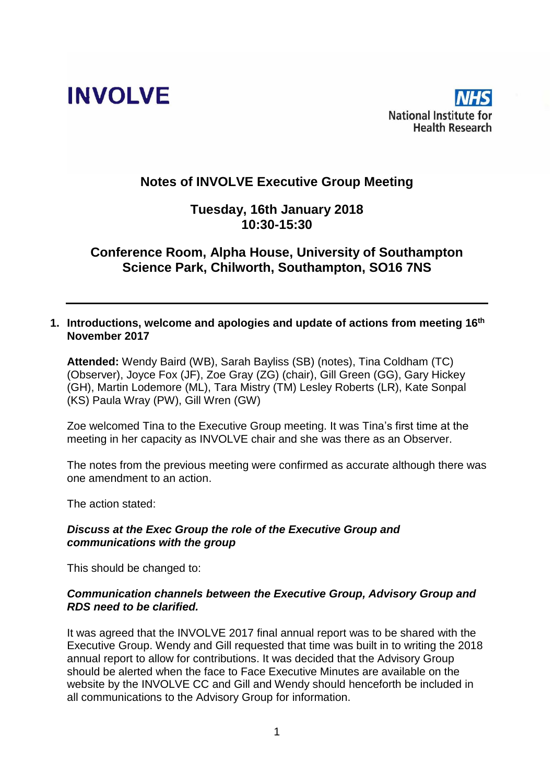



# **Notes of INVOLVE Executive Group Meeting**

# **Tuesday, 16th January 2018 10:30-15:30**

# **Conference Room, Alpha House, University of Southampton Science Park, Chilworth, Southampton, SO16 7NS**

#### **1. Introductions, welcome and apologies and update of actions from meeting 16th November 2017**

**Attended:** Wendy Baird (WB), Sarah Bayliss (SB) (notes), Tina Coldham (TC) (Observer), Joyce Fox (JF), Zoe Gray (ZG) (chair), Gill Green (GG), Gary Hickey (GH), Martin Lodemore (ML), Tara Mistry (TM) Lesley Roberts (LR), Kate Sonpal (KS) Paula Wray (PW), Gill Wren (GW)

Zoe welcomed Tina to the Executive Group meeting. It was Tina's first time at the meeting in her capacity as INVOLVE chair and she was there as an Observer.

The notes from the previous meeting were confirmed as accurate although there was one amendment to an action.

The action stated:

#### *Discuss at the Exec Group the role of the Executive Group and communications with the group*

This should be changed to:

### *Communication channels between the Executive Group, Advisory Group and RDS need to be clarified.*

It was agreed that the INVOLVE 2017 final annual report was to be shared with the Executive Group. Wendy and Gill requested that time was built in to writing the 2018 annual report to allow for contributions. It was decided that the Advisory Group should be alerted when the face to Face Executive Minutes are available on the website by the INVOLVE CC and Gill and Wendy should henceforth be included in all communications to the Advisory Group for information.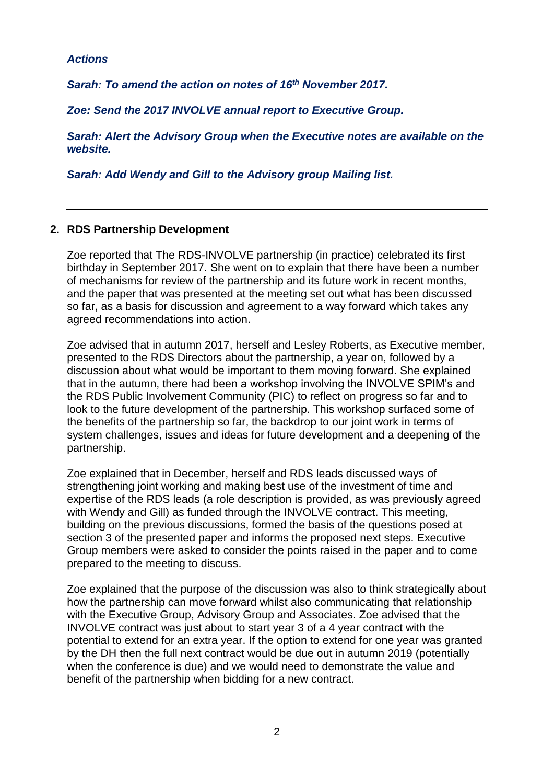#### *Actions*

*Sarah: To amend the action on notes of 16th November 2017.*

*Zoe: Send the 2017 INVOLVE annual report to Executive Group.*

*Sarah: Alert the Advisory Group when the Executive notes are available on the website.*

*Sarah: Add Wendy and Gill to the Advisory group Mailing list.*

#### **2. RDS Partnership Development**

Zoe reported that The RDS-INVOLVE partnership (in practice) celebrated its first birthday in September 2017. She went on to explain that there have been a number of mechanisms for review of the partnership and its future work in recent months, and the paper that was presented at the meeting set out what has been discussed so far, as a basis for discussion and agreement to a way forward which takes any agreed recommendations into action.

Zoe advised that in autumn 2017, herself and Lesley Roberts, as Executive member, presented to the RDS Directors about the partnership, a year on, followed by a discussion about what would be important to them moving forward. She explained that in the autumn, there had been a workshop involving the INVOLVE SPIM's and the RDS Public Involvement Community (PIC) to reflect on progress so far and to look to the future development of the partnership. This workshop surfaced some of the benefits of the partnership so far, the backdrop to our joint work in terms of system challenges, issues and ideas for future development and a deepening of the partnership.

Zoe explained that in December, herself and RDS leads discussed ways of strengthening joint working and making best use of the investment of time and expertise of the RDS leads (a role description is provided, as was previously agreed with Wendy and Gill) as funded through the INVOLVE contract. This meeting, building on the previous discussions, formed the basis of the questions posed at section 3 of the presented paper and informs the proposed next steps. Executive Group members were asked to consider the points raised in the paper and to come prepared to the meeting to discuss.

Zoe explained that the purpose of the discussion was also to think strategically about how the partnership can move forward whilst also communicating that relationship with the Executive Group, Advisory Group and Associates. Zoe advised that the INVOLVE contract was just about to start year 3 of a 4 year contract with the potential to extend for an extra year. If the option to extend for one year was granted by the DH then the full next contract would be due out in autumn 2019 (potentially when the conference is due) and we would need to demonstrate the value and benefit of the partnership when bidding for a new contract.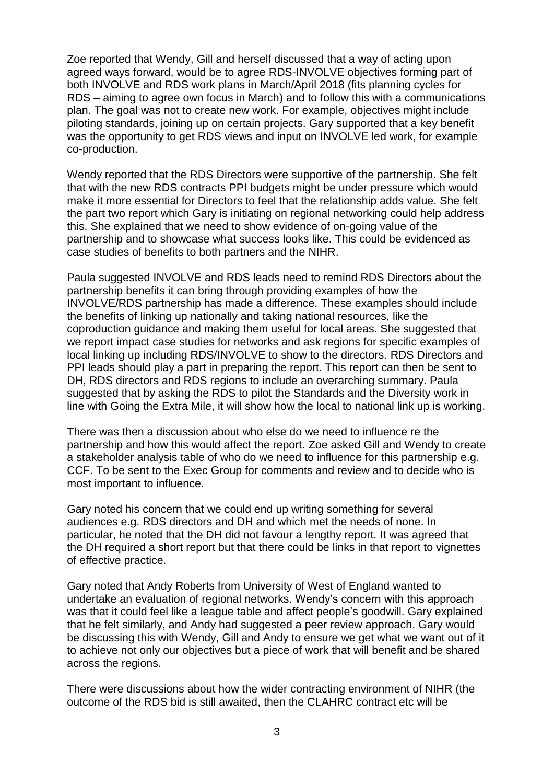Zoe reported that Wendy, Gill and herself discussed that a way of acting upon agreed ways forward, would be to agree RDS-INVOLVE objectives forming part of both INVOLVE and RDS work plans in March/April 2018 (fits planning cycles for RDS – aiming to agree own focus in March) and to follow this with a communications plan. The goal was not to create new work. For example, objectives might include piloting standards, joining up on certain projects. Gary supported that a key benefit was the opportunity to get RDS views and input on INVOLVE led work, for example co-production.

Wendy reported that the RDS Directors were supportive of the partnership. She felt that with the new RDS contracts PPI budgets might be under pressure which would make it more essential for Directors to feel that the relationship adds value. She felt the part two report which Gary is initiating on regional networking could help address this. She explained that we need to show evidence of on-going value of the partnership and to showcase what success looks like. This could be evidenced as case studies of benefits to both partners and the NIHR.

Paula suggested INVOLVE and RDS leads need to remind RDS Directors about the partnership benefits it can bring through providing examples of how the INVOLVE/RDS partnership has made a difference. These examples should include the benefits of linking up nationally and taking national resources, like the coproduction guidance and making them useful for local areas. She suggested that we report impact case studies for networks and ask regions for specific examples of local linking up including RDS/INVOLVE to show to the directors. RDS Directors and PPI leads should play a part in preparing the report. This report can then be sent to DH, RDS directors and RDS regions to include an overarching summary. Paula suggested that by asking the RDS to pilot the Standards and the Diversity work in line with Going the Extra Mile, it will show how the local to national link up is working.

There was then a discussion about who else do we need to influence re the partnership and how this would affect the report. Zoe asked Gill and Wendy to create a stakeholder analysis table of who do we need to influence for this partnership e.g. CCF. To be sent to the Exec Group for comments and review and to decide who is most important to influence.

Gary noted his concern that we could end up writing something for several audiences e.g. RDS directors and DH and which met the needs of none. In particular, he noted that the DH did not favour a lengthy report. It was agreed that the DH required a short report but that there could be links in that report to vignettes of effective practice.

Gary noted that Andy Roberts from University of West of England wanted to undertake an evaluation of regional networks. Wendy's concern with this approach was that it could feel like a league table and affect people's goodwill. Gary explained that he felt similarly, and Andy had suggested a peer review approach. Gary would be discussing this with Wendy, Gill and Andy to ensure we get what we want out of it to achieve not only our objectives but a piece of work that will benefit and be shared across the regions.

There were discussions about how the wider contracting environment of NIHR (the outcome of the RDS bid is still awaited, then the CLAHRC contract etc will be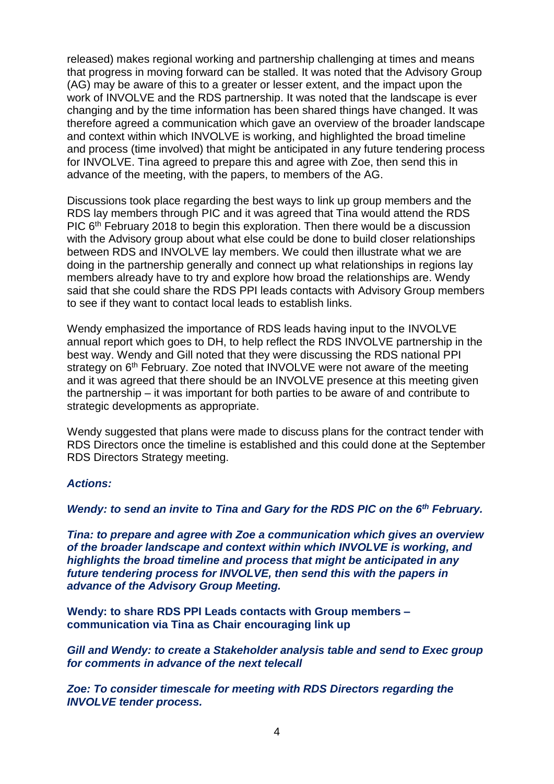released) makes regional working and partnership challenging at times and means that progress in moving forward can be stalled. It was noted that the Advisory Group (AG) may be aware of this to a greater or lesser extent, and the impact upon the work of INVOLVE and the RDS partnership. It was noted that the landscape is ever changing and by the time information has been shared things have changed. It was therefore agreed a communication which gave an overview of the broader landscape and context within which INVOLVE is working, and highlighted the broad timeline and process (time involved) that might be anticipated in any future tendering process for INVOLVE. Tina agreed to prepare this and agree with Zoe, then send this in advance of the meeting, with the papers, to members of the AG.

Discussions took place regarding the best ways to link up group members and the RDS lay members through PIC and it was agreed that Tina would attend the RDS PIC 6<sup>th</sup> February 2018 to begin this exploration. Then there would be a discussion with the Advisory group about what else could be done to build closer relationships between RDS and INVOLVE lay members. We could then illustrate what we are doing in the partnership generally and connect up what relationships in regions lay members already have to try and explore how broad the relationships are. Wendy said that she could share the RDS PPI leads contacts with Advisory Group members to see if they want to contact local leads to establish links.

Wendy emphasized the importance of RDS leads having input to the INVOLVE annual report which goes to DH, to help reflect the RDS INVOLVE partnership in the best way. Wendy and Gill noted that they were discussing the RDS national PPI strategy on 6<sup>th</sup> February. Zoe noted that INVOLVE were not aware of the meeting and it was agreed that there should be an INVOLVE presence at this meeting given the partnership – it was important for both parties to be aware of and contribute to strategic developments as appropriate.

Wendy suggested that plans were made to discuss plans for the contract tender with RDS Directors once the timeline is established and this could done at the September RDS Directors Strategy meeting.

#### *Actions:*

*Wendy: to send an invite to Tina and Gary for the RDS PIC on the 6th February.*

*Tina: to prepare and agree with Zoe a communication which gives an overview of the broader landscape and context within which INVOLVE is working, and highlights the broad timeline and process that might be anticipated in any future tendering process for INVOLVE, then send this with the papers in advance of the Advisory Group Meeting.* 

**Wendy: to share RDS PPI Leads contacts with Group members – communication via Tina as Chair encouraging link up** 

*Gill and Wendy: to create a Stakeholder analysis table and send to Exec group for comments in advance of the next telecall*

*Zoe: To consider timescale for meeting with RDS Directors regarding the INVOLVE tender process.*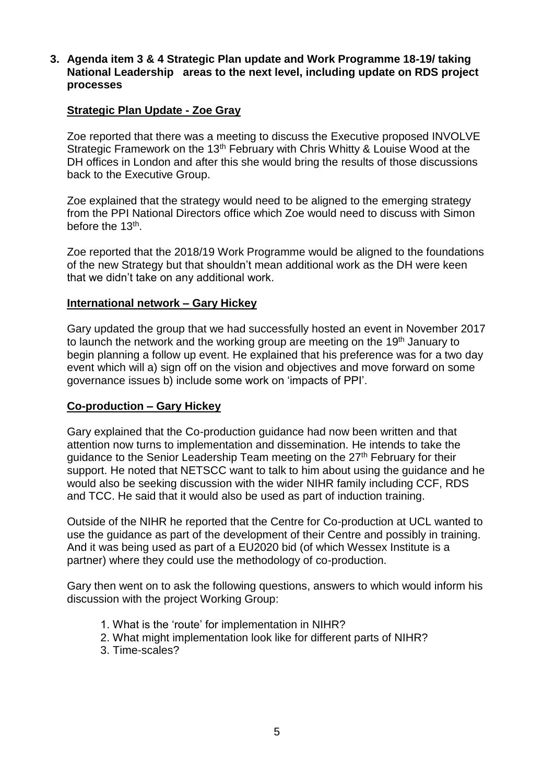### **3. Agenda item 3 & 4 Strategic Plan update and Work Programme 18-19/ taking National Leadership areas to the next level, including update on RDS project processes**

### **Strategic Plan Update - Zoe Gray**

Zoe reported that there was a meeting to discuss the Executive proposed INVOLVE Strategic Framework on the 13<sup>th</sup> February with Chris Whitty & Louise Wood at the DH offices in London and after this she would bring the results of those discussions back to the Executive Group.

Zoe explained that the strategy would need to be aligned to the emerging strategy from the PPI National Directors office which Zoe would need to discuss with Simon before the 13<sup>th</sup>.

Zoe reported that the 2018/19 Work Programme would be aligned to the foundations of the new Strategy but that shouldn't mean additional work as the DH were keen that we didn't take on any additional work.

#### **International network – Gary Hickey**

Gary updated the group that we had successfully hosted an event in November 2017 to launch the network and the working group are meeting on the 19<sup>th</sup> January to begin planning a follow up event. He explained that his preference was for a two day event which will a) sign off on the vision and objectives and move forward on some governance issues b) include some work on 'impacts of PPI'.

### **Co-production – Gary Hickey**

Gary explained that the Co-production guidance had now been written and that attention now turns to implementation and dissemination. He intends to take the guidance to the Senior Leadership Team meeting on the 27<sup>th</sup> February for their support. He noted that NETSCC want to talk to him about using the guidance and he would also be seeking discussion with the wider NIHR family including CCF, RDS and TCC. He said that it would also be used as part of induction training.

Outside of the NIHR he reported that the Centre for Co-production at UCL wanted to use the guidance as part of the development of their Centre and possibly in training. And it was being used as part of a EU2020 bid (of which Wessex Institute is a partner) where they could use the methodology of co-production.

Gary then went on to ask the following questions, answers to which would inform his discussion with the project Working Group:

- 1. What is the 'route' for implementation in NIHR?
- 2. What might implementation look like for different parts of NIHR?
- 3. Time-scales?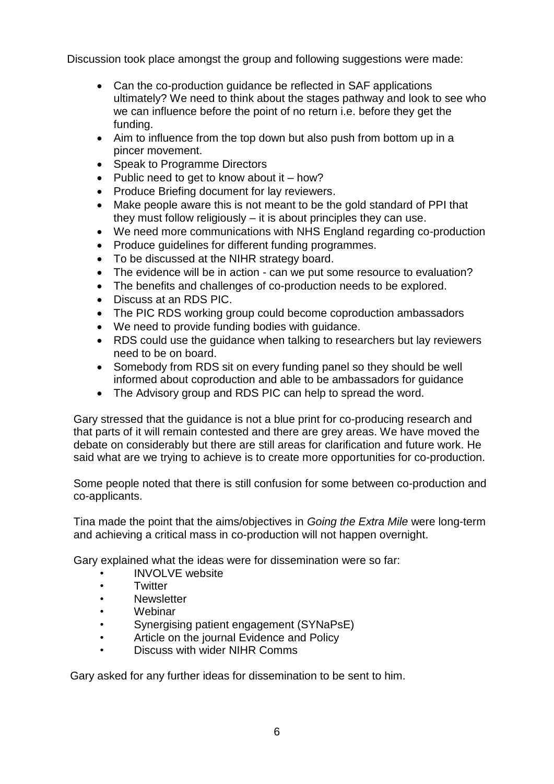Discussion took place amongst the group and following suggestions were made:

- Can the co-production guidance be reflected in SAF applications ultimately? We need to think about the stages pathway and look to see who we can influence before the point of no return i.e. before they get the funding.
- Aim to influence from the top down but also push from bottom up in a pincer movement.
- Speak to Programme Directors
- Public need to get to know about it  $-$  how?
- Produce Briefing document for lay reviewers.
- Make people aware this is not meant to be the gold standard of PPI that they must follow religiously – it is about principles they can use.
- We need more communications with NHS England regarding co-production
- Produce quidelines for different funding programmes.
- To be discussed at the NIHR strategy board.
- The evidence will be in action can we put some resource to evaluation?
- The benefits and challenges of co-production needs to be explored.
- Discuss at an RDS PIC.
- The PIC RDS working group could become coproduction ambassadors
- We need to provide funding bodies with guidance.
- RDS could use the guidance when talking to researchers but lay reviewers need to be on board.
- Somebody from RDS sit on every funding panel so they should be well informed about coproduction and able to be ambassadors for guidance
- The Advisory group and RDS PIC can help to spread the word.

Gary stressed that the guidance is not a blue print for co-producing research and that parts of it will remain contested and there are grey areas. We have moved the debate on considerably but there are still areas for clarification and future work. He said what are we trying to achieve is to create more opportunities for co-production.

Some people noted that there is still confusion for some between co-production and co-applicants.

Tina made the point that the aims/objectives in *Going the Extra Mile* were long-term and achieving a critical mass in co-production will not happen overnight.

Gary explained what the ideas were for dissemination were so far:

- INVOLVE website
- **Twitter**
- Newsletter
- Webinar
- Synergising patient engagement (SYNaPsE)
- Article on the journal Evidence and Policy
- Discuss with wider NIHR Comms

Gary asked for any further ideas for dissemination to be sent to him.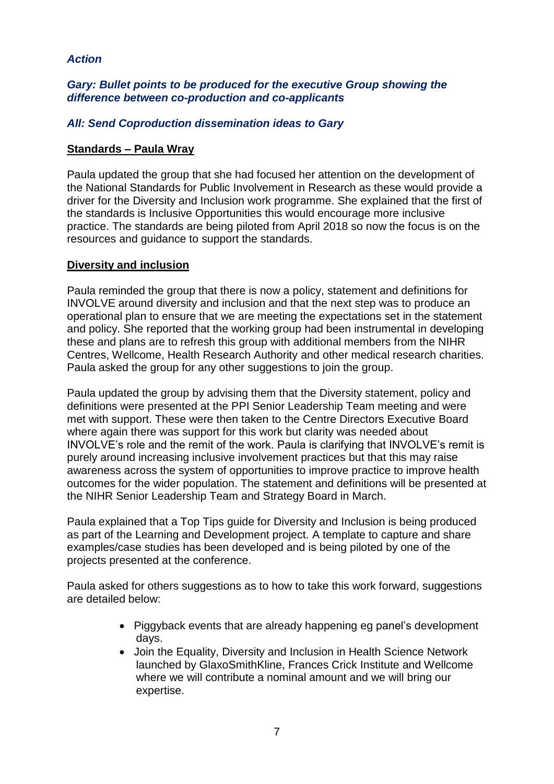## *Action*

## *Gary: Bullet points to be produced for the executive Group showing the difference between co-production and co-applicants*

## *All: Send Coproduction dissemination ideas to Gary*

### **Standards – Paula Wray**

Paula updated the group that she had focused her attention on the development of the National Standards for Public Involvement in Research as these would provide a driver for the Diversity and Inclusion work programme. She explained that the first of the standards is Inclusive Opportunities this would encourage more inclusive practice. The standards are being piloted from April 2018 so now the focus is on the resources and guidance to support the standards.

### **Diversity and inclusion**

Paula reminded the group that there is now a policy, statement and definitions for INVOLVE around diversity and inclusion and that the next step was to produce an operational plan to ensure that we are meeting the expectations set in the statement and policy. She reported that the working group had been instrumental in developing these and plans are to refresh this group with additional members from the NIHR Centres, Wellcome, Health Research Authority and other medical research charities. Paula asked the group for any other suggestions to join the group.

Paula updated the group by advising them that the Diversity statement, policy and definitions were presented at the PPI Senior Leadership Team meeting and were met with support. These were then taken to the Centre Directors Executive Board where again there was support for this work but clarity was needed about INVOLVE's role and the remit of the work. Paula is clarifying that INVOLVE's remit is purely around increasing inclusive involvement practices but that this may raise awareness across the system of opportunities to improve practice to improve health outcomes for the wider population. The statement and definitions will be presented at the NIHR Senior Leadership Team and Strategy Board in March.

Paula explained that a Top Tips guide for Diversity and Inclusion is being produced as part of the Learning and Development project. A template to capture and share examples/case studies has been developed and is being piloted by one of the projects presented at the conference.

Paula asked for others suggestions as to how to take this work forward, suggestions are detailed below:

- Piggyback events that are already happening eg panel's development days.
- Join the Equality, Diversity and Inclusion in Health Science Network launched by GlaxoSmithKline, Frances Crick Institute and Wellcome where we will contribute a nominal amount and we will bring our expertise.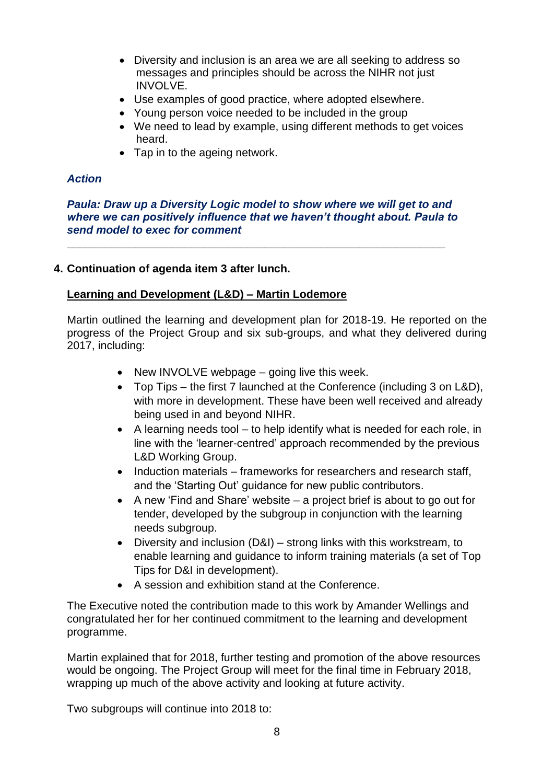- Diversity and inclusion is an area we are all seeking to address so messages and principles should be across the NIHR not just INVOLVE.
- Use examples of good practice, where adopted elsewhere.
- Young person voice needed to be included in the group
- We need to lead by example, using different methods to get voices heard.
- Tap in to the ageing network.

## *Action*

*Paula: Draw up a Diversity Logic model to show where we will get to and where we can positively influence that we haven't thought about. Paula to send model to exec for comment*

**\_\_\_\_\_\_\_\_\_\_\_\_\_\_\_\_\_\_\_\_\_\_\_\_\_\_\_\_\_\_\_\_\_\_\_\_\_\_\_\_\_\_\_\_\_\_\_\_\_\_\_\_\_\_\_\_\_\_\_\_\_**

## **4. Continuation of agenda item 3 after lunch.**

### **Learning and Development (L&D) – Martin Lodemore**

Martin outlined the learning and development plan for 2018-19. He reported on the progress of the Project Group and six sub-groups, and what they delivered during 2017, including:

- $\bullet$  New INVOLVE webpage going live this week.
- Top Tips the first 7 launched at the Conference (including 3 on L&D), with more in development. These have been well received and already being used in and beyond NIHR.
- A learning needs tool to help identify what is needed for each role, in line with the 'learner-centred' approach recommended by the previous L&D Working Group.
- Induction materials frameworks for researchers and research staff, and the 'Starting Out' guidance for new public contributors.
- A new 'Find and Share' website a project brief is about to go out for tender, developed by the subgroup in conjunction with the learning needs subgroup.
- Diversity and inclusion (D&I) strong links with this workstream, to enable learning and guidance to inform training materials (a set of Top Tips for D&I in development).
- A session and exhibition stand at the Conference.

The Executive noted the contribution made to this work by Amander Wellings and congratulated her for her continued commitment to the learning and development programme.

Martin explained that for 2018, further testing and promotion of the above resources would be ongoing. The Project Group will meet for the final time in February 2018, wrapping up much of the above activity and looking at future activity.

Two subgroups will continue into 2018 to: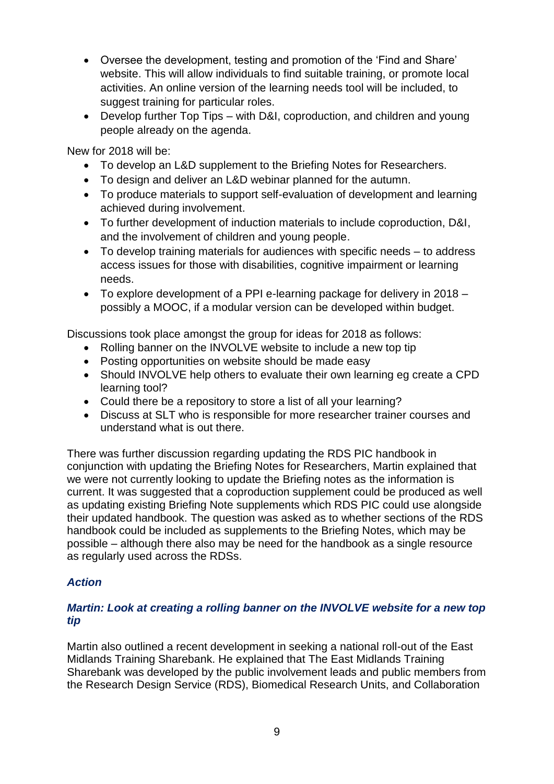- Oversee the development, testing and promotion of the 'Find and Share' website. This will allow individuals to find suitable training, or promote local activities. An online version of the learning needs tool will be included, to suggest training for particular roles.
- Develop further Top Tips with D&I, coproduction, and children and young people already on the agenda.

New for 2018 will be:

- To develop an L&D supplement to the Briefing Notes for Researchers.
- To design and deliver an L&D webinar planned for the autumn.
- To produce materials to support self-evaluation of development and learning achieved during involvement.
- To further development of induction materials to include coproduction, D&I, and the involvement of children and young people.
- To develop training materials for audiences with specific needs to address access issues for those with disabilities, cognitive impairment or learning needs.
- To explore development of a PPI e-learning package for delivery in 2018 possibly a MOOC, if a modular version can be developed within budget.

Discussions took place amongst the group for ideas for 2018 as follows:

- Rolling banner on the INVOLVE website to include a new top tip
- Posting opportunities on website should be made easy
- Should INVOLVE help others to evaluate their own learning eg create a CPD learning tool?
- Could there be a repository to store a list of all your learning?
- Discuss at SLT who is responsible for more researcher trainer courses and understand what is out there.

There was further discussion regarding updating the RDS PIC handbook in conjunction with updating the Briefing Notes for Researchers, Martin explained that we were not currently looking to update the Briefing notes as the information is current. It was suggested that a coproduction supplement could be produced as well as updating existing Briefing Note supplements which RDS PIC could use alongside their updated handbook. The question was asked as to whether sections of the RDS handbook could be included as supplements to the Briefing Notes, which may be possible – although there also may be need for the handbook as a single resource as regularly used across the RDSs.

## *Action*

## *Martin: Look at creating a rolling banner on the INVOLVE website for a new top tip*

Martin also outlined a recent development in seeking a national roll-out of the East Midlands Training Sharebank. He explained that The East Midlands Training Sharebank was developed by the public involvement leads and public members from the Research Design Service (RDS), Biomedical Research Units, and Collaboration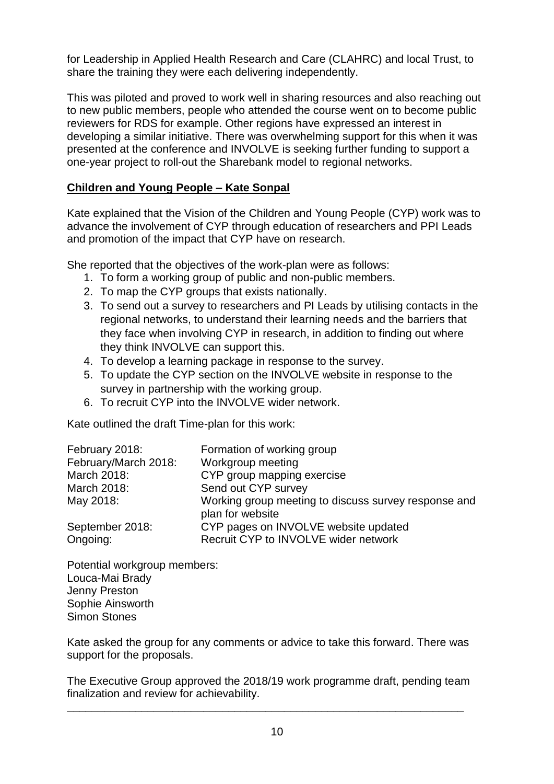for Leadership in Applied Health Research and Care (CLAHRC) and local Trust, to share the training they were each delivering independently.

This was piloted and proved to work well in sharing resources and also reaching out to new public members, people who attended the course went on to become public reviewers for RDS for example. Other regions have expressed an interest in developing a similar initiative. There was overwhelming support for this when it was presented at the conference and INVOLVE is seeking further funding to support a one-year project to roll-out the Sharebank model to regional networks.

# **Children and Young People – Kate Sonpal**

Kate explained that the Vision of the Children and Young People (CYP) work was to advance the involvement of CYP through education of researchers and PPI Leads and promotion of the impact that CYP have on research.

She reported that the objectives of the work-plan were as follows:

- 1. To form a working group of public and non-public members.
- 2. To map the CYP groups that exists nationally.
- 3. To send out a survey to researchers and PI Leads by utilising contacts in the regional networks, to understand their learning needs and the barriers that they face when involving CYP in research, in addition to finding out where they think INVOLVE can support this.
- 4. To develop a learning package in response to the survey.
- 5. To update the CYP section on the INVOLVE website in response to the survey in partnership with the working group.
- 6. To recruit CYP into the INVOLVE wider network.

Kate outlined the draft Time-plan for this work:

| February 2018:              | Formation of working group                                                   |
|-----------------------------|------------------------------------------------------------------------------|
| February/March 2018:        | Workgroup meeting                                                            |
| March 2018:                 | CYP group mapping exercise                                                   |
| March 2018:                 | Send out CYP survey                                                          |
| May 2018:                   | Working group meeting to discuss survey response and<br>plan for website     |
| September 2018:<br>Ongoing: | CYP pages on INVOLVE website updated<br>Recruit CYP to INVOLVE wider network |

Potential workgroup members: Louca-Mai Brady Jenny Preston Sophie Ainsworth Simon Stones

Kate asked the group for any comments or advice to take this forward. There was support for the proposals.

The Executive Group approved the 2018/19 work programme draft, pending team finalization and review for achievability.

**\_\_\_\_\_\_\_\_\_\_\_\_\_\_\_\_\_\_\_\_\_\_\_\_\_\_\_\_\_\_\_\_\_\_\_\_\_\_\_\_\_\_\_\_\_\_\_\_\_\_\_\_\_\_\_\_\_\_\_\_\_\_\_\_**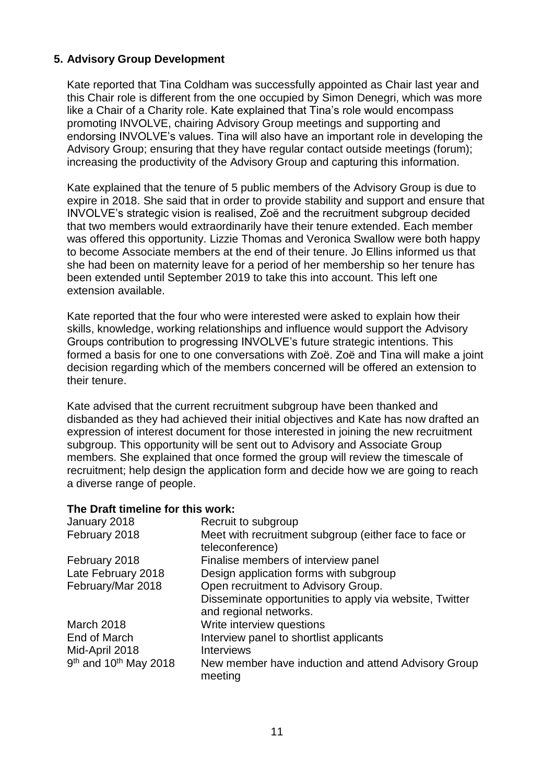## **5. Advisory Group Development**

Kate reported that Tina Coldham was successfully appointed as Chair last year and this Chair role is different from the one occupied by Simon Denegri, which was more like a Chair of a Charity role. Kate explained that Tina's role would encompass promoting INVOLVE, chairing Advisory Group meetings and supporting and endorsing INVOLVE's values. Tina will also have an important role in developing the Advisory Group; ensuring that they have regular contact outside meetings (forum); increasing the productivity of the Advisory Group and capturing this information.

Kate explained that the tenure of 5 public members of the Advisory Group is due to expire in 2018. She said that in order to provide stability and support and ensure that INVOLVE's strategic vision is realised, Zoë and the recruitment subgroup decided that two members would extraordinarily have their tenure extended. Each member was offered this opportunity. Lizzie Thomas and Veronica Swallow were both happy to become Associate members at the end of their tenure. Jo Ellins informed us that she had been on maternity leave for a period of her membership so her tenure has been extended until September 2019 to take this into account. This left one extension available.

Kate reported that the four who were interested were asked to explain how their skills, knowledge, working relationships and influence would support the Advisory Groups contribution to progressing INVOLVE's future strategic intentions. This formed a basis for one to one conversations with Zoë. Zoë and Tina will make a joint decision regarding which of the members concerned will be offered an extension to their tenure.

Kate advised that the current recruitment subgroup have been thanked and disbanded as they had achieved their initial objectives and Kate has now drafted an expression of interest document for those interested in joining the new recruitment subgroup. This opportunity will be sent out to Advisory and Associate Group members. She explained that once formed the group will review the timescale of recruitment; help design the application form and decide how we are going to reach a diverse range of people.

#### **The Draft timeline for this work:**

| January 2018                                  | Recruit to subgroup                                                               |
|-----------------------------------------------|-----------------------------------------------------------------------------------|
| February 2018                                 | Meet with recruitment subgroup (either face to face or<br>teleconference)         |
| February 2018                                 | Finalise members of interview panel                                               |
| Late February 2018                            | Design application forms with subgroup                                            |
| February/Mar 2018                             | Open recruitment to Advisory Group.                                               |
|                                               | Disseminate opportunities to apply via website, Twitter<br>and regional networks. |
| March 2018                                    | Write interview questions                                                         |
| End of March                                  | Interview panel to shortlist applicants                                           |
| Mid-April 2018                                | <b>Interviews</b>                                                                 |
| 9 <sup>th</sup> and 10 <sup>th</sup> May 2018 | New member have induction and attend Advisory Group<br>meeting                    |